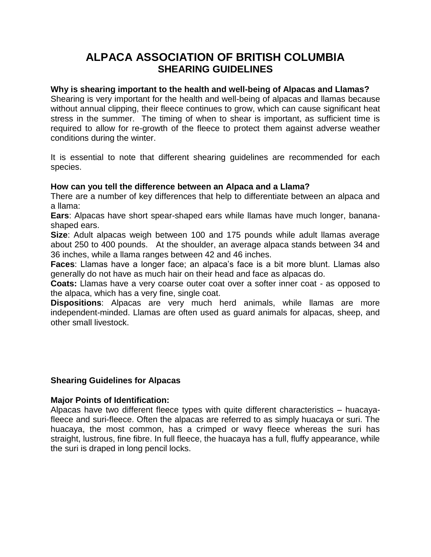# **ALPACA ASSOCIATION OF BRITISH COLUMBIA SHEARING GUIDELINES**

# **Why is shearing important to the health and well-being of Alpacas and Llamas?**

Shearing is very important for the health and well-being of alpacas and llamas because without annual clipping, their fleece continues to grow, which can cause significant heat stress in the summer. The timing of when to shear is important, as sufficient time is required to allow for re-growth of the fleece to protect them against adverse weather conditions during the winter.

It is essential to note that different shearing guidelines are recommended for each species.

## **How can you tell the difference between an Alpaca and a Llama?**

There are a number of key differences that help to differentiate between an alpaca and a llama:

**Ears**: Alpacas have short spear-shaped ears while llamas have much longer, bananashaped ears.

**Size**: Adult alpacas weigh between 100 and 175 pounds while adult llamas average about 250 to 400 pounds. At the shoulder, an average alpaca stands between 34 and 36 inches, while a llama ranges between 42 and 46 inches.

**Faces**: Llamas have a longer face; an alpaca's face is a bit more blunt. Llamas also generally do not have as much hair on their head and face as alpacas do.

**Coats:** Llamas have a very coarse outer coat over a softer inner coat - as opposed to the alpaca, which has a very fine, single coat.

**Dispositions**: Alpacas are very much herd animals, while llamas are more independent-minded. Llamas are often used as guard animals for alpacas, sheep, and other small livestock.

## **Shearing Guidelines for Alpacas**

#### **Major Points of Identification:**

Alpacas have two different fleece types with quite different characteristics – huacayafleece and suri-fleece. Often the alpacas are referred to as simply huacaya or suri. The huacaya, the most common, has a crimped or wavy fleece whereas the suri has straight, lustrous, fine fibre. In full fleece, the huacaya has a full, fluffy appearance, while the suri is draped in long pencil locks.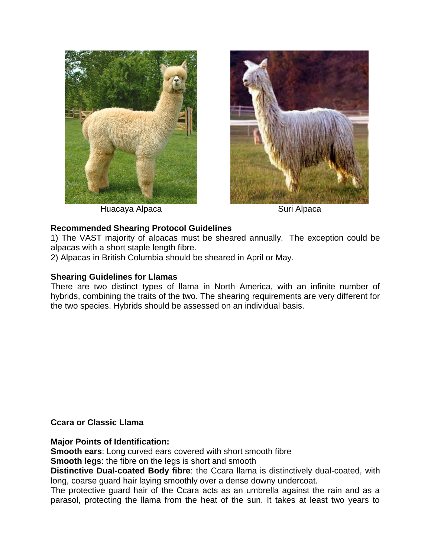



Huacaya Alpaca **Suri Alpaca** Suri Alpaca

# **Recommended Shearing Protocol Guidelines**

1) The VAST majority of alpacas must be sheared annually. The exception could be alpacas with a short staple length fibre.

2) Alpacas in British Columbia should be sheared in April or May.

# **Shearing Guidelines for Llamas**

There are two distinct types of llama in North America, with an infinite number of hybrids, combining the traits of the two. The shearing requirements are very different for the two species. Hybrids should be assessed on an individual basis.

**Ccara or Classic Llama** 

**Major Points of Identification:** 

**Smooth ears**: Long curved ears covered with short smooth fibre

**Smooth legs**: the fibre on the legs is short and smooth

**Distinctive Dual-coated Body fibre**: the Ccara llama is distinctively dual-coated, with long, coarse guard hair laying smoothly over a dense downy undercoat.

The protective guard hair of the Ccara acts as an umbrella against the rain and as a parasol, protecting the llama from the heat of the sun. It takes at least two years to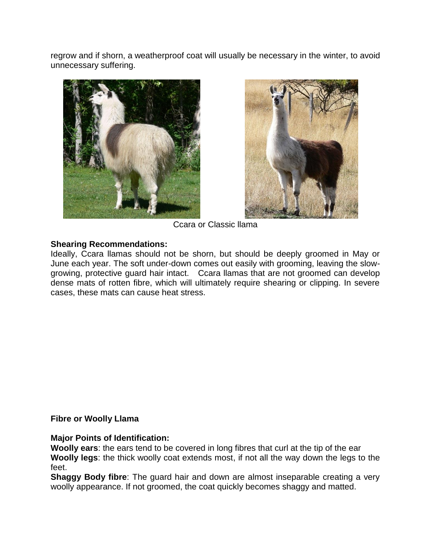regrow and if shorn, a weatherproof coat will usually be necessary in the winter, to avoid unnecessary suffering.





Ccara or Classic llama

## **Shearing Recommendations:**

Ideally, Ccara llamas should not be shorn, but should be deeply groomed in May or June each year. The soft under-down comes out easily with grooming, leaving the slowgrowing, protective guard hair intact. Ccara llamas that are not groomed can develop dense mats of rotten fibre, which will ultimately require shearing or clipping. In severe cases, these mats can cause heat stress.

## **Fibre or Woolly Llama**

**Major Points of Identification:** 

**Woolly ears**: the ears tend to be covered in long fibres that curl at the tip of the ear **Woolly legs**: the thick woolly coat extends most, if not all the way down the legs to the feet.

**Shaggy Body fibre**: The guard hair and down are almost inseparable creating a very woolly appearance. If not groomed, the coat quickly becomes shaggy and matted.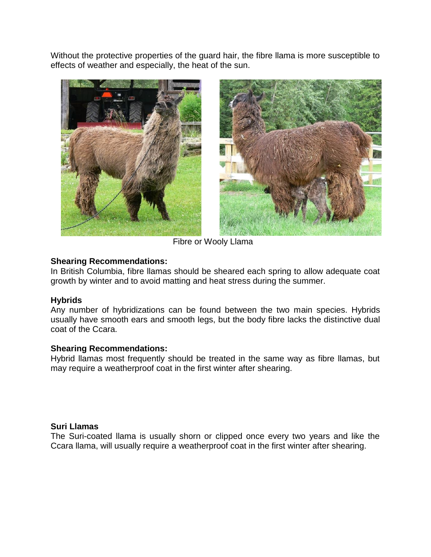Without the protective properties of the guard hair, the fibre llama is more susceptible to effects of weather and especially, the heat of the sun.



Fibre or Wooly Llama

## **Shearing Recommendations:**

In British Columbia, fibre llamas should be sheared each spring to allow adequate coat growth by winter and to avoid matting and heat stress during the summer.

## **Hybrids**

Any number of hybridizations can be found between the two main species. Hybrids usually have smooth ears and smooth legs, but the body fibre lacks the distinctive dual coat of the Ccara.

#### **Shearing Recommendations:**

Hybrid llamas most frequently should be treated in the same way as fibre llamas, but may require a weatherproof coat in the first winter after shearing.

#### **Suri Llamas**

The Suri-coated llama is usually shorn or clipped once every two years and like the Ccara llama, will usually require a weatherproof coat in the first winter after shearing.